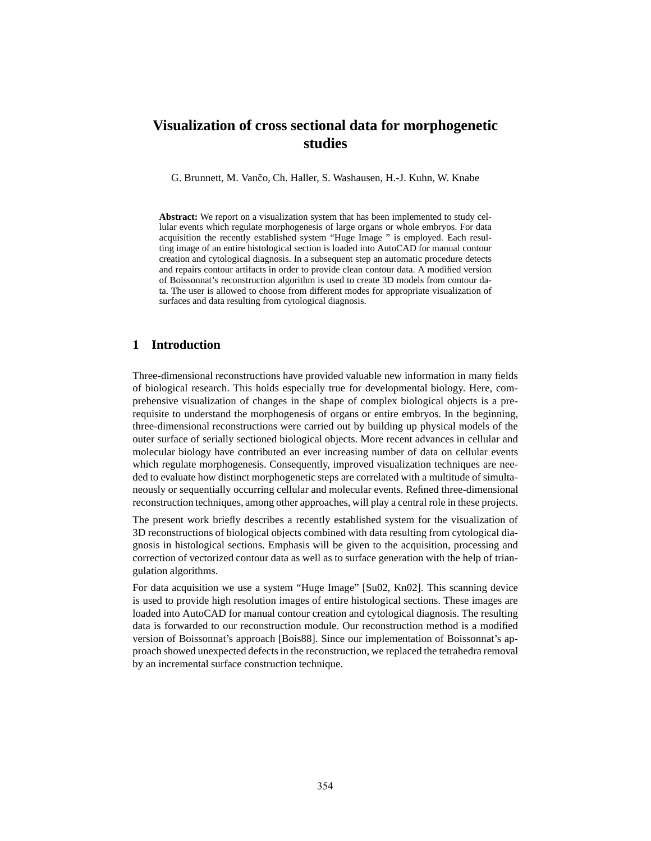# **Visualization of cross sectional data for morphogenetic studies**

G. Brunnett, M. Vančo, Ch. Haller, S. Washausen, H.-J. Kuhn, W. Knabe

**Abstract:** We report on a visualization system that has been implemented to study cellular events which regulate morphogenesis of large organs or whole embryos. For data acquisition the recently established system "Huge Image " is employed. Each resulting image of an entire histological section is loaded into AutoCAD for manual contour creation and cytological diagnosis. In a subsequent step an automatic procedure detects and repairs contour artifacts in order to provide clean contour data. A modified version of Boissonnat's reconstruction algorithm is used to create 3D models from contour data. The user is allowed to choose from different modes for appropriate visualization of surfaces and data resulting from cytological diagnosis.

### **1 Introduction**

Three-dimensional reconstructions have provided valuable new information in many fields of biological research. This holds especially true for developmental biology. Here, comprehensive visualization of changes in the shape of complex biological objects is a prerequisite to understand the morphogenesis of organs or entire embryos. In the beginning, three-dimensional reconstructions were carried out by building up physical models of the outer surface of serially sectioned biological objects. More recent advances in cellular and molecular biology have contributed an ever increasing number of data on cellular events which regulate morphogenesis. Consequently, improved visualization techniques are needed to evaluate how distinct morphogenetic steps are correlated with a multitude of simultaneously or sequentially occurring cellular and molecular events. Refined three-dimensional reconstruction techniques, among other approaches, will play a central role in these projects.

The present work briefly describes a recently established system for the visualization of 3D reconstructions of biological objects combined with data resulting from cytological diagnosis in histological sections. Emphasis will be given to the acquisition, processing and correction of vectorized contour data as well as to surface generation with the help of triangulation algorithms.

For data acquisition we use a system "Huge Image" [Su02, Kn02]. This scanning device is used to provide high resolution images of entire histological sections. These images are loaded into AutoCAD for manual contour creation and cytological diagnosis. The resulting data is forwarded to our reconstruction module. Our reconstruction method is a modified version of Boissonnat's approach [Bois88]. Since our implementation of Boissonnat's approach showed unexpected defects in the reconstruction, we replaced the tetrahedra removal by an incremental surface construction technique.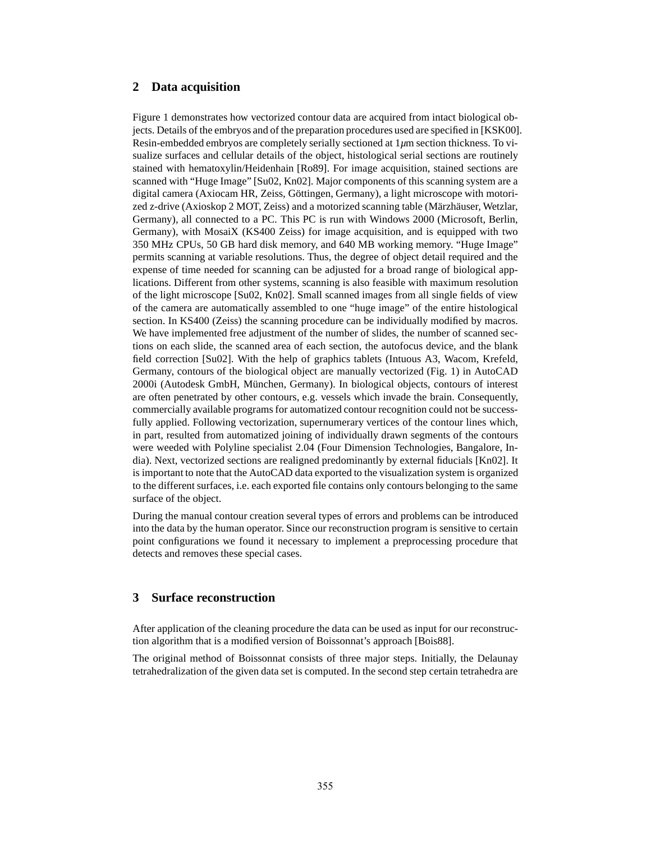#### **2 Data acquisition**

Figure 1 demonstrates how vectorized contour data are acquired from intact biological objects. Details of the embryos and of the preparation procedures used are specified in [KSK00]. Resin-embedded embryos are completely serially sectioned at 1*µ*m section thickness. To visualize surfaces and cellular details of the object, histological serial sections are routinely stained with hematoxylin/Heidenhain [Ro89]. For image acquisition, stained sections are scanned with "Huge Image" [Su02, Kn02]. Major components of this scanning system are a digital camera (Axiocam HR, Zeiss, Göttingen, Germany), a light microscope with motorized z-drive (Axioskop 2 MOT, Zeiss) and a motorized scanning table (Märzhäuser, Wetzlar, Germany), all connected to a PC. This PC is run with Windows 2000 (Microsoft, Berlin, Germany), with MosaiX (KS400 Zeiss) for image acquisition, and is equipped with two 350 MHz CPUs, 50 GB hard disk memory, and 640 MB working memory. "Huge Image" permits scanning at variable resolutions. Thus, the degree of object detail required and the expense of time needed for scanning can be adjusted for a broad range of biological applications. Different from other systems, scanning is also feasible with maximum resolution of the light microscope [Su02, Kn02]. Small scanned images from all single fields of view of the camera are automatically assembled to one "huge image" of the entire histological section. In KS400 (Zeiss) the scanning procedure can be individually modified by macros. We have implemented free adjustment of the number of slides, the number of scanned sections on each slide, the scanned area of each section, the autofocus device, and the blank field correction [Su02]. With the help of graphics tablets (Intuous A3, Wacom, Krefeld, Germany, contours of the biological object are manually vectorized (Fig. 1) in AutoCAD 2000i (Autodesk GmbH, München, Germany). In biological objects, contours of interest are often penetrated by other contours, e.g. vessels which invade the brain. Consequently, commercially available programs for automatized contour recognition could not be successfully applied. Following vectorization, supernumerary vertices of the contour lines which, in part, resulted from automatized joining of individually drawn segments of the contours were weeded with Polyline specialist 2.04 (Four Dimension Technologies, Bangalore, India). Next, vectorized sections are realigned predominantly by external fiducials [Kn02]. It is important to note that the AutoCAD data exported to the visualization system is organized to the different surfaces, i.e. each exported file contains only contours belonging to the same surface of the object.

During the manual contour creation several types of errors and problems can be introduced into the data by the human operator. Since our reconstruction program is sensitive to certain point configurations we found it necessary to implement a preprocessing procedure that detects and removes these special cases.

#### **3 Surface reconstruction**

After application of the cleaning procedure the data can be used as input for our reconstruction algorithm that is a modified version of Boissonnat's approach [Bois88].

The original method of Boissonnat consists of three major steps. Initially, the Delaunay tetrahedralization of the given data set is computed. In the second step certain tetrahedra are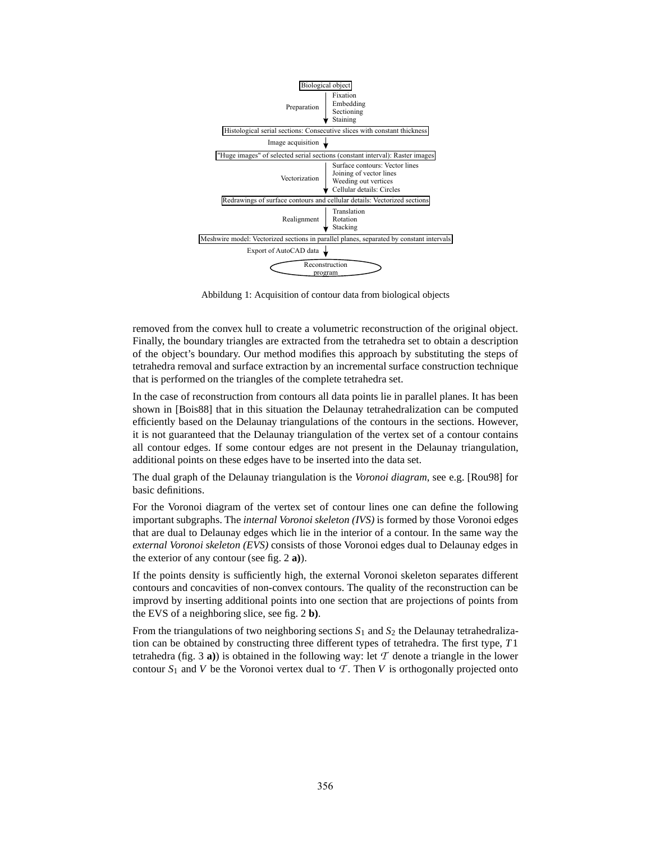

Abbildung 1: Acquisition of contour data from biological objects

removed from the convex hull to create a volumetric reconstruction of the original object. Finally, the boundary triangles are extracted from the tetrahedra set to obtain a description of the object's boundary. Our method modifies this approach by substituting the steps of tetrahedra removal and surface extraction by an incremental surface construction technique that is performed on the triangles of the complete tetrahedra set.

In the case of reconstruction from contours all data points lie in parallel planes. It has been shown in [Bois88] that in this situation the Delaunay tetrahedralization can be computed efficiently based on the Delaunay triangulations of the contours in the sections. However, it is not guaranteed that the Delaunay triangulation of the vertex set of a contour contains all contour edges. If some contour edges are not present in the Delaunay triangulation, additional points on these edges have to be inserted into the data set.

The dual graph of the Delaunay triangulation is the *Voronoi diagram*, see e.g. [Rou98] for basic definitions.

For the Voronoi diagram of the vertex set of contour lines one can define the following important subgraphs. The *internal Voronoi skeleton (IVS)* is formed by those Voronoi edges that are dual to Delaunay edges which lie in the interior of a contour. In the same way the *external Voronoi skeleton (EVS)* consists of those Voronoi edges dual to Delaunay edges in the exterior of any contour (see fig. 2 **a)**).

If the points density is sufficiently high, the external Voronoi skeleton separates different contours and concavities of non-convex contours. The quality of the reconstruction can be improvd by inserting additional points into one section that are projections of points from the EVS of a neighboring slice, see fig. 2 **b)**.

From the triangulations of two neighboring sections  $S_1$  and  $S_2$  the Delaunay tetrahedralization can be obtained by constructing three different types of tetrahedra. The first type, *T*1 tetrahedra (fig. 3 **a**)) is obtained in the following way: let  $\mathcal T$  denote a triangle in the lower contour  $S_1$  and *V* be the Voronoi vertex dual to  $\mathcal T$ . Then *V* is orthogonally projected onto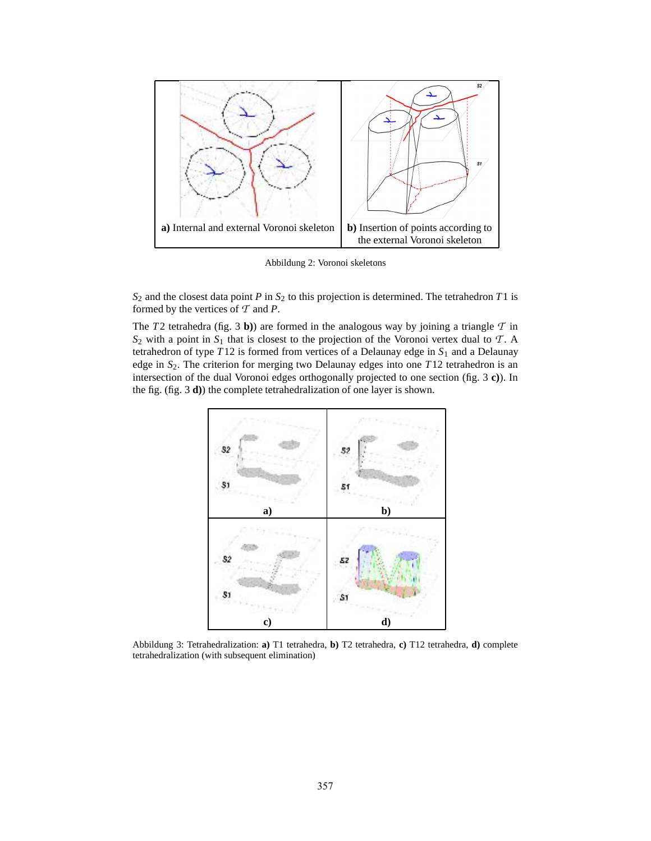

Abbildung 2: Voronoi skeletons

*S*<sup>2</sup> and the closest data point *P* in *S*<sup>2</sup> to this projection is determined. The tetrahedron *T*1 is formed by the vertices of *T* and *P*.

The  $T2$  tetrahedra (fig. 3 **b**)) are formed in the analogous way by joining a triangle  $T$  in  $S_2$  with a point in  $S_1$  that is closest to the projection of the Voronoi vertex dual to  $T$ . A tetrahedron of type  $T12$  is formed from vertices of a Delaunay edge in  $S_1$  and a Delaunay edge in  $S_2$ . The criterion for merging two Delaunay edges into one  $T12$  tetrahedron is an intersection of the dual Voronoi edges orthogonally projected to one section (fig. 3 **c)**). In the fig. (fig. 3 **d)**) the complete tetrahedralization of one layer is shown.



Abbildung 3: Tetrahedralization: **a)** T1 tetrahedra, **b)** T2 tetrahedra, **c)** T12 tetrahedra, **d)** complete tetrahedralization (with subsequent elimination)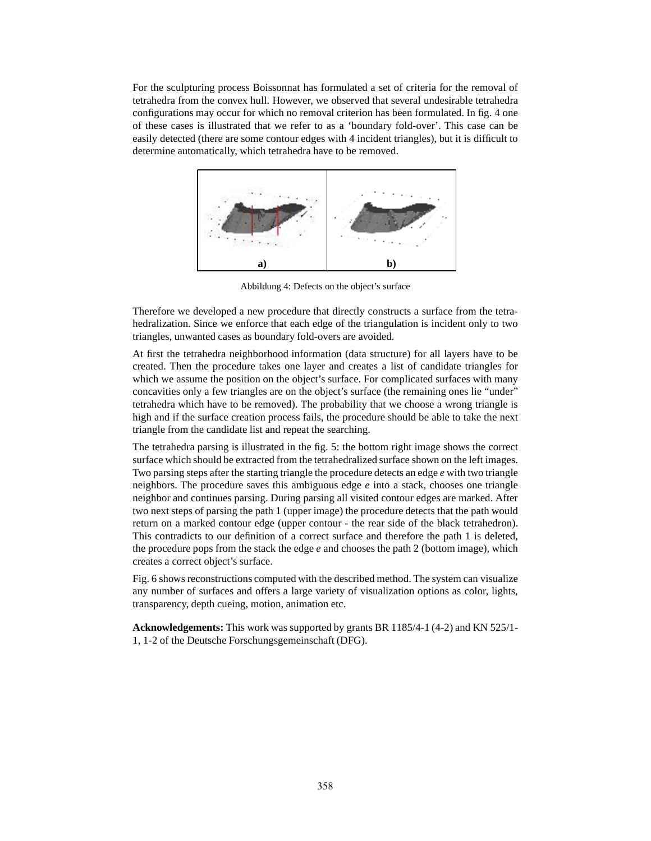For the sculpturing process Boissonnat has formulated a set of criteria for the removal of tetrahedra from the convex hull. However, we observed that several undesirable tetrahedra configurations may occur for which no removal criterion has been formulated. In fig. 4 one of these cases is illustrated that we refer to as a 'boundary fold-over'. This case can be easily detected (there are some contour edges with 4 incident triangles), but it is difficult to determine automatically, which tetrahedra have to be removed.



Abbildung 4: Defects on the object's surface

Therefore we developed a new procedure that directly constructs a surface from the tetrahedralization. Since we enforce that each edge of the triangulation is incident only to two triangles, unwanted cases as boundary fold-overs are avoided.

At first the tetrahedra neighborhood information (data structure) for all layers have to be created. Then the procedure takes one layer and creates a list of candidate triangles for which we assume the position on the object's surface. For complicated surfaces with many concavities only a few triangles are on the object's surface (the remaining ones lie "under" tetrahedra which have to be removed). The probability that we choose a wrong triangle is high and if the surface creation process fails, the procedure should be able to take the next triangle from the candidate list and repeat the searching.

The tetrahedra parsing is illustrated in the fig. 5: the bottom right image shows the correct surface which should be extracted from the tetrahedralized surface shown on the left images. Two parsing steps after the starting triangle the procedure detects an edge *e* with two triangle neighbors. The procedure saves this ambiguous edge *e* into a stack, chooses one triangle neighbor and continues parsing. During parsing all visited contour edges are marked. After two next steps of parsing the path 1 (upper image) the procedure detects that the path would return on a marked contour edge (upper contour - the rear side of the black tetrahedron). This contradicts to our definition of a correct surface and therefore the path 1 is deleted, the procedure pops from the stack the edge *e* and chooses the path 2 (bottom image), which creates a correct object's surface.

Fig. 6 shows reconstructions computed with the described method. The system can visualize any number of surfaces and offers a large variety of visualization options as color, lights, transparency, depth cueing, motion, animation etc.

**Acknowledgements:** This work was supported by grants BR 1185/4-1 (4-2) and KN 525/1- 1, 1-2 of the Deutsche Forschungsgemeinschaft (DFG).